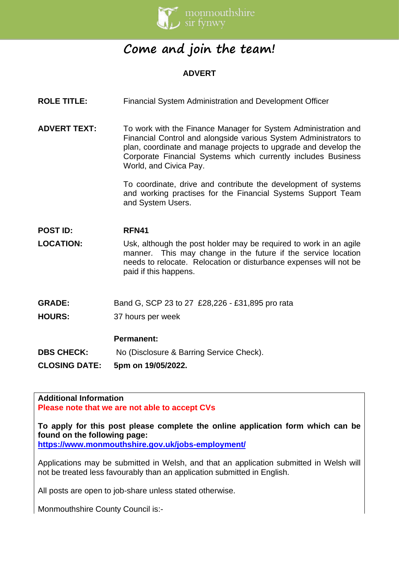

# **Come and join the team!**

# **ADVERT**

- **ROLE TITLE:** Financial System Administration and Development Officer
- **ADVERT TEXT:** To work with the Finance Manager for System Administration and Financial Control and alongside various System Administrators to plan, coordinate and manage projects to upgrade and develop the Corporate Financial Systems which currently includes Business World, and Civica Pay.

To coordinate, drive and contribute the development of systems and working practises for the Financial Systems Support Team and System Users.

# **POST ID: RFN41**

- **LOCATION:** Usk, although the post holder may be required to work in an agile manner. This may change in the future if the service location needs to relocate. Relocation or disturbance expenses will not be paid if this happens.
- **GRADE:** Band G, SCP 23 to 27 £28,226 £31,895 pro rata
- **HOURS:** 37 hours per week

### **Permanent:**

**DBS CHECK:** No (Disclosure & Barring Service Check).

### **CLOSING DATE: 5pm on 19/05/2022.**

#### **Additional Information Please note that we are not able to accept CVs**

**To apply for this post please complete the online application form which can be found on the following page:**

**<https://www.monmouthshire.gov.uk/jobs-employment/>**

Applications may be submitted in Welsh, and that an application submitted in Welsh will not be treated less favourably than an application submitted in English.

All posts are open to job-share unless stated otherwise.

Monmouthshire County Council is:-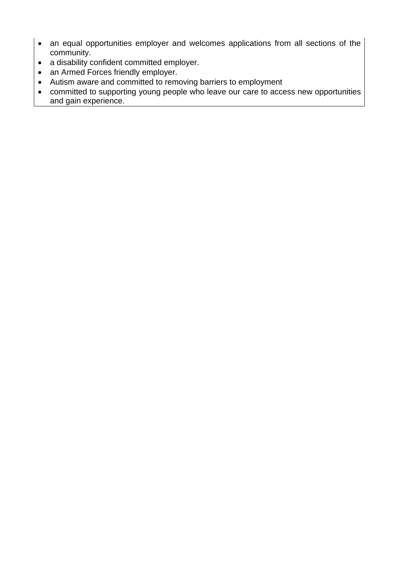- an equal opportunities employer and welcomes applications from all sections of the community.
- a disability confident committed employer.
- an Armed Forces friendly employer.
- Autism aware and committed to removing barriers to employment
- committed to supporting young people who leave our care to access new opportunities and gain experience.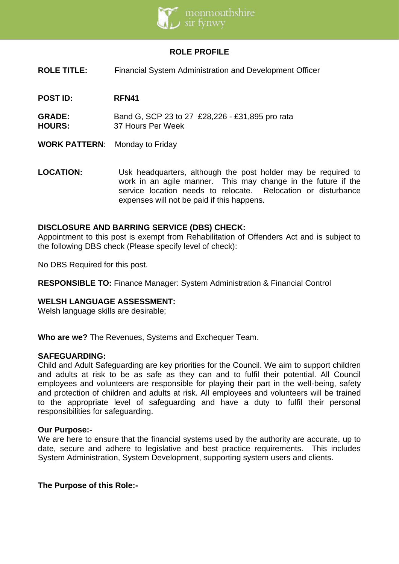

## **ROLE PROFILE**

- **ROLE TITLE:** Financial System Administration and Development Officer
- **POST ID: RFN41**
- **GRADE:** Band G, SCP 23 to 27 £28,226 £31,895 pro rata **HOURS:** 37 Hours Per Week
- **WORK PATTERN**: Monday to Friday
- **LOCATION:** Usk headquarters, although the post holder may be required to work in an agile manner. This may change in the future if the service location needs to relocate. Relocation or disturbance expenses will not be paid if this happens.

### **DISCLOSURE AND BARRING SERVICE (DBS) CHECK:**

Appointment to this post is exempt from Rehabilitation of Offenders Act and is subject to the following DBS check (Please specify level of check):

No DBS Required for this post.

**RESPONSIBLE TO:** Finance Manager: System Administration & Financial Control

### **WELSH LANGUAGE ASSESSMENT:**

Welsh language skills are desirable;

**Who are we?** The Revenues, Systems and Exchequer Team.

### **SAFEGUARDING:**

Child and Adult Safeguarding are key priorities for the Council. We aim to support children and adults at risk to be as safe as they can and to fulfil their potential. All Council employees and volunteers are responsible for playing their part in the well-being, safety and protection of children and adults at risk. All employees and volunteers will be trained to the appropriate level of safeguarding and have a duty to fulfil their personal responsibilities for safeguarding.

### **Our Purpose:-**

We are here to ensure that the financial systems used by the authority are accurate, up to date, secure and adhere to legislative and best practice requirements. This includes System Administration, System Development, supporting system users and clients.

### **The Purpose of this Role:-**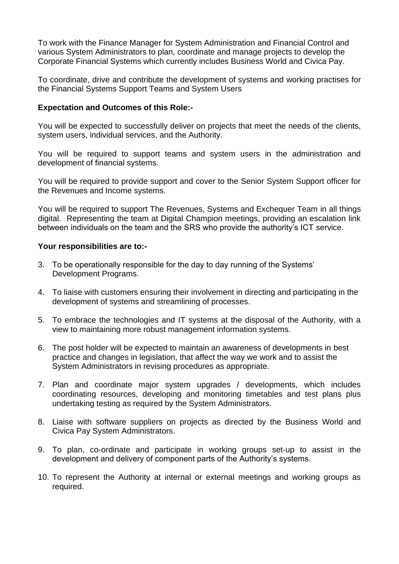To work with the Finance Manager for System Administration and Financial Control and various System Administrators to plan, coordinate and manage projects to develop the Corporate Financial Systems which currently includes Business World and Civica Pay.

To coordinate, drive and contribute the development of systems and working practises for the Financial Systems Support Teams and System Users

### **Expectation and Outcomes of this Role:-**

You will be expected to successfully deliver on projects that meet the needs of the clients, system users, individual services, and the Authority.

You will be required to support teams and system users in the administration and development of financial systems.

You will be required to provide support and cover to the Senior System Support officer for the Revenues and Income systems.

You will be required to support The Revenues, Systems and Exchequer Team in all things digital. Representing the team at Digital Champion meetings, providing an escalation link between individuals on the team and the SRS who provide the authority's ICT service.

### **Your responsibilities are to:-**

- 3. To be operationally responsible for the day to day running of the Systems' Development Programs.
- 4. To liaise with customers ensuring their involvement in directing and participating in the development of systems and streamlining of processes.
- 5. To embrace the technologies and IT systems at the disposal of the Authority, with a view to maintaining more robust management information systems.
- 6. The post holder will be expected to maintain an awareness of developments in best practice and changes in legislation, that affect the way we work and to assist the System Administrators in revising procedures as appropriate.
- 7. Plan and coordinate major system upgrades / developments, which includes coordinating resources, developing and monitoring timetables and test plans plus undertaking testing as required by the System Administrators.
- 8. Liaise with software suppliers on projects as directed by the Business World and Civica Pay System Administrators.
- 9. To plan, co-ordinate and participate in working groups set-up to assist in the development and delivery of component parts of the Authority's systems.
- 10. To represent the Authority at internal or external meetings and working groups as required.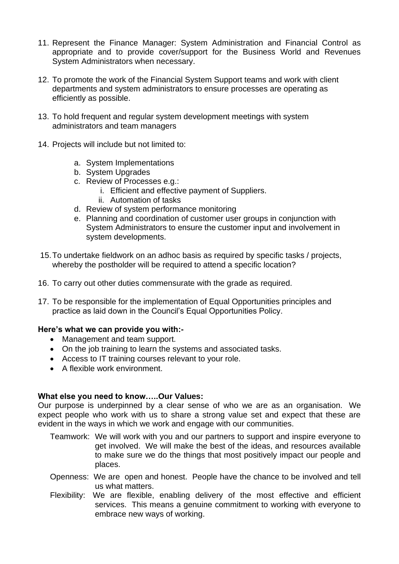- 11. Represent the Finance Manager: System Administration and Financial Control as appropriate and to provide cover/support for the Business World and Revenues System Administrators when necessary.
- 12. To promote the work of the Financial System Support teams and work with client departments and system administrators to ensure processes are operating as efficiently as possible.
- 13. To hold frequent and regular system development meetings with system administrators and team managers
- 14. Projects will include but not limited to:
	- a. System Implementations
	- b. System Upgrades
	- c. Review of Processes e.g.:
		- i. Efficient and effective payment of Suppliers.
		- ii. Automation of tasks
	- d. Review of system performance monitoring
	- e. Planning and coordination of customer user groups in conjunction with System Administrators to ensure the customer input and involvement in system developments.
- 15.To undertake fieldwork on an adhoc basis as required by specific tasks / projects, whereby the postholder will be required to attend a specific location?
- 16. To carry out other duties commensurate with the grade as required.
- 17. To be responsible for the implementation of Equal Opportunities principles and practice as laid down in the Council's Equal Opportunities Policy.

### **Here's what we can provide you with:-**

- Management and team support.
- On the job training to learn the systems and associated tasks.
- Access to IT training courses relevant to your role.
- A flexible work environment.

### **What else you need to know…..Our Values:**

Our purpose is underpinned by a clear sense of who we are as an organisation. We expect people who work with us to share a strong value set and expect that these are evident in the ways in which we work and engage with our communities.

- Teamwork: We will work with you and our partners to support and inspire everyone to get involved. We will make the best of the ideas, and resources available to make sure we do the things that most positively impact our people and places.
- Openness: We are open and honest. People have the chance to be involved and tell us what matters.
- Flexibility: We are flexible, enabling delivery of the most effective and efficient services. This means a genuine commitment to working with everyone to embrace new ways of working.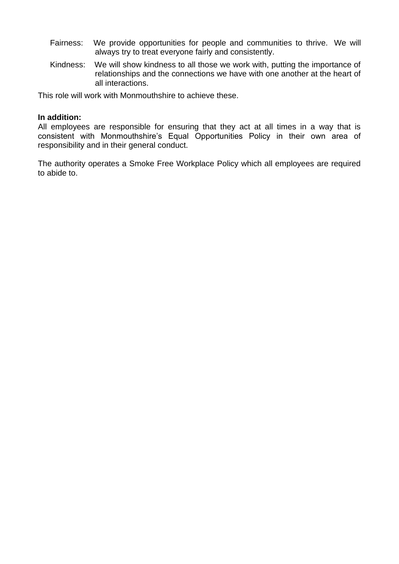- Fairness: We provide opportunities for people and communities to thrive. We will always try to treat everyone fairly and consistently.
- Kindness: We will show kindness to all those we work with, putting the importance of relationships and the connections we have with one another at the heart of all interactions.

This role will work with Monmouthshire to achieve these.

### **In addition:**

All employees are responsible for ensuring that they act at all times in a way that is consistent with Monmouthshire's Equal Opportunities Policy in their own area of responsibility and in their general conduct.

The authority operates a Smoke Free Workplace Policy which all employees are required to abide to.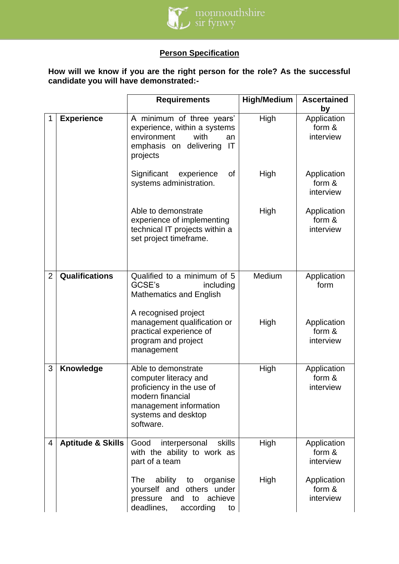

# **Person Specification**

**How will we know if you are the right person for the role? As the successful candidate you will have demonstrated:-**

|                |                              | <b>Requirements</b>                                                                                                                                         | <b>High/Medium</b> | <b>Ascertained</b><br>by           |
|----------------|------------------------------|-------------------------------------------------------------------------------------------------------------------------------------------------------------|--------------------|------------------------------------|
| 1              | <b>Experience</b>            | A minimum of three years'<br>experience, within a systems<br>environment<br>with<br>an<br>emphasis on delivering<br>IT<br>projects                          | High               | Application<br>form &<br>interview |
|                |                              | Significant<br>οf<br>experience<br>systems administration.                                                                                                  | High               | Application<br>form &<br>interview |
|                |                              | Able to demonstrate<br>experience of implementing<br>technical IT projects within a<br>set project timeframe.                                               | High               | Application<br>form &<br>interview |
| $\overline{2}$ | <b>Qualifications</b>        | Qualified to a minimum of 5<br>GCSE's<br>including<br><b>Mathematics and English</b>                                                                        | Medium             | Application<br>form                |
|                |                              | A recognised project<br>management qualification or<br>practical experience of<br>program and project<br>management                                         | High               | Application<br>form &<br>interview |
| 3              | Knowledge                    | Able to demonstrate<br>computer literacy and<br>proficiency in the use of<br>modern financial<br>management information<br>systems and desktop<br>software. | High               | Application<br>form &<br>interview |
| $\overline{4}$ | <b>Aptitude &amp; Skills</b> | Good<br>skills<br>interpersonal<br>with the ability to work as<br>part of a team                                                                            | High               | Application<br>form &<br>interview |
|                |                              | <b>The</b><br>ability<br>to<br>organise<br>yourself and<br>others under<br>achieve<br>to<br>pressure<br>and<br>deadlines,<br>according<br>to                | High               | Application<br>form &<br>interview |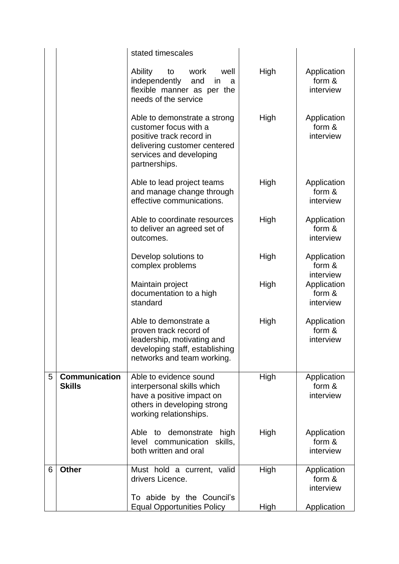|   |                                       | stated timescales                                                                                                                                             |             |                                    |
|---|---------------------------------------|---------------------------------------------------------------------------------------------------------------------------------------------------------------|-------------|------------------------------------|
|   |                                       | Ability<br>to<br>work<br>well<br>independently<br>and<br>in<br>a<br>flexible manner as per the<br>needs of the service                                        | High        | Application<br>form &<br>interview |
|   |                                       | Able to demonstrate a strong<br>customer focus with a<br>positive track record in<br>delivering customer centered<br>services and developing<br>partnerships. | High        | Application<br>form &<br>interview |
|   |                                       | Able to lead project teams<br>and manage change through<br>effective communications.                                                                          | High        | Application<br>form &<br>interview |
|   |                                       | Able to coordinate resources<br>to deliver an agreed set of<br>outcomes.                                                                                      | High        | Application<br>form &<br>interview |
|   |                                       | Develop solutions to<br>complex problems                                                                                                                      | High        | Application<br>form &<br>interview |
|   |                                       | Maintain project<br>documentation to a high<br>standard                                                                                                       | High        | Application<br>form &<br>interview |
|   |                                       | Able to demonstrate a<br>proven track record of<br>leadership, motivating and<br>developing staff, establishing<br>networks and team working.                 | High        | Application<br>form &<br>interview |
| 5 | <b>Communication</b><br><b>Skills</b> | Able to evidence sound<br>interpersonal skills which<br>have a positive impact on<br>others in developing strong<br>working relationships.                    | High        | Application<br>form &<br>interview |
|   |                                       | to demonstrate<br>Able<br>high<br>communication<br>skills,<br>level<br>both written and oral                                                                  | High        | Application<br>form &<br>interview |
| 6 | <b>Other</b>                          | Must hold a current, valid<br>drivers Licence.                                                                                                                | High        | Application<br>form &<br>interview |
|   |                                       | To abide by the Council's<br><b>Equal Opportunities Policy</b>                                                                                                | <b>High</b> | Application                        |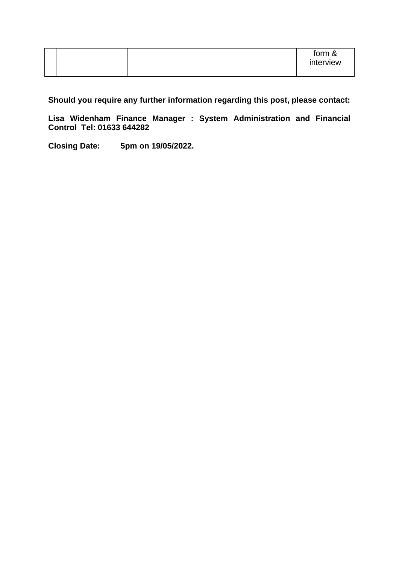|  |  | form &<br>interview |
|--|--|---------------------|
|--|--|---------------------|

**Should you require any further information regarding this post, please contact:** 

**Lisa Widenham Finance Manager : System Administration and Financial Control Tel: 01633 644282**

**Closing Date: 5pm on 19/05/2022.**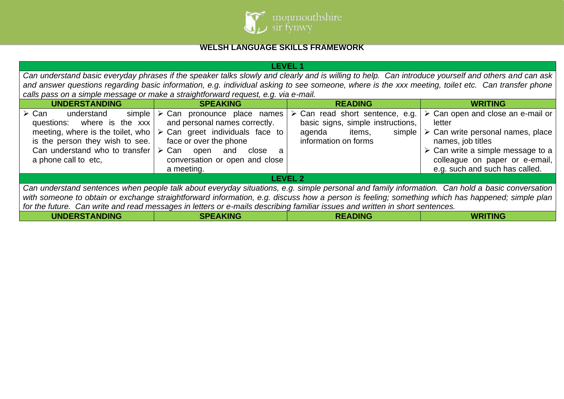

# **WELSH LANGUAGE SKILLS FRAMEWORK**

| LEVEL 1                                                                                                                                                                                                                                                                                                                                                                                                                            |                                                                                                                                                                                                                                               |                                                                                                                                           |                                                                                                                                                                                                                                                                              |  |
|------------------------------------------------------------------------------------------------------------------------------------------------------------------------------------------------------------------------------------------------------------------------------------------------------------------------------------------------------------------------------------------------------------------------------------|-----------------------------------------------------------------------------------------------------------------------------------------------------------------------------------------------------------------------------------------------|-------------------------------------------------------------------------------------------------------------------------------------------|------------------------------------------------------------------------------------------------------------------------------------------------------------------------------------------------------------------------------------------------------------------------------|--|
|                                                                                                                                                                                                                                                                                                                                                                                                                                    |                                                                                                                                                                                                                                               |                                                                                                                                           | Can understand basic everyday phrases if the speaker talks slowly and clearly and is willing to help. Can introduce yourself and others and can ask                                                                                                                          |  |
|                                                                                                                                                                                                                                                                                                                                                                                                                                    |                                                                                                                                                                                                                                               |                                                                                                                                           | and answer questions regarding basic information, e.g. individual asking to see someone, where is the xxx meeting, toilet etc. Can transfer phone                                                                                                                            |  |
|                                                                                                                                                                                                                                                                                                                                                                                                                                    | calls pass on a simple message or make a straightforward request, e.g. via e-mail.                                                                                                                                                            |                                                                                                                                           |                                                                                                                                                                                                                                                                              |  |
| <b>UNDERSTANDING</b>                                                                                                                                                                                                                                                                                                                                                                                                               | <b>SPEAKING</b>                                                                                                                                                                                                                               | <b>READING</b>                                                                                                                            | <b>WRITING</b>                                                                                                                                                                                                                                                               |  |
| $\triangleright$ Can<br>simple<br>understand<br>questions: where is the xxx<br>meeting, where is the toilet, who<br>is the person they wish to see.<br>Can understand who to transfer<br>a phone call to etc,                                                                                                                                                                                                                      | $\triangleright$ Can pronounce place names<br>and personal names correctly.<br>$\triangleright$ Can greet individuals face to<br>face or over the phone<br>≻ Can<br>close<br>open<br>and<br>a<br>conversation or open and close<br>a meeting. | $\triangleright$ Can read short sentence, e.g.<br>basic signs, simple instructions,<br>items,<br>agenda<br>simple<br>information on forms | $\triangleright$ Can open and close an e-mail or<br>letter<br>$\triangleright$ Can write personal names, place<br>names, job titles<br>$\triangleright$ Can write a simple message to a $\triangleright$<br>colleague on paper or e-email,<br>e.g. such and such has called. |  |
|                                                                                                                                                                                                                                                                                                                                                                                                                                    | <b>LEVEL 2</b>                                                                                                                                                                                                                                |                                                                                                                                           |                                                                                                                                                                                                                                                                              |  |
| Can understand sentences when people talk about everyday situations, e.g. simple personal and family information. Can hold a basic conversation<br>with someone to obtain or exchange straightforward information, e.g. discuss how a person is feeling; something which has happened; simple plan<br>for the future. Can write and read messages in letters or e-mails describing familiar issues and written in short sentences. |                                                                                                                                                                                                                                               |                                                                                                                                           |                                                                                                                                                                                                                                                                              |  |
| <b>UNDERSTANDING</b>                                                                                                                                                                                                                                                                                                                                                                                                               | <b>SPEAKING</b>                                                                                                                                                                                                                               | <b>READING</b>                                                                                                                            | <b>WRITING</b>                                                                                                                                                                                                                                                               |  |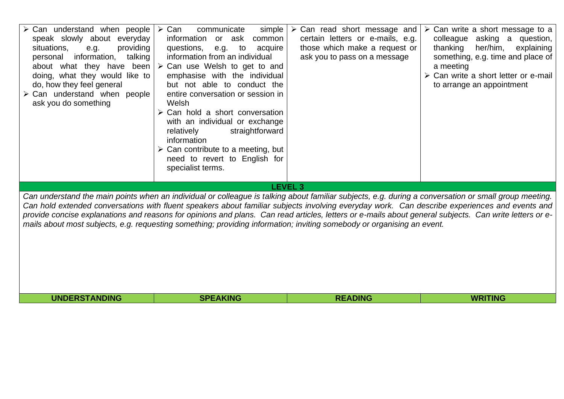| $\triangleright$ Can understand when people $\triangleright$ Can<br>speak slowly about everyday<br>providing<br>situations,<br>e.g.<br>information,<br>talking<br>personal<br>about what they have been<br>doing, what they would like to<br>do, how they feel general<br>$\triangleright$ Can understand when people<br>ask you do something | communicate<br>simple<br>information<br>or ask<br>common<br>questions,<br>to<br>e.g.<br>acquire<br>information from an individual<br>$\triangleright$ Can use Welsh to get to and<br>emphasise with the individual<br>but not able to conduct the<br>entire conversation or session in<br>Welsh<br>$\triangleright$ Can hold a short conversation<br>with an individual or exchange<br>straightforward<br>relatively<br>information<br>$\triangleright$ Can contribute to a meeting, but<br>need to revert to English for<br>specialist terms. | $\triangleright$ Can read short message and<br>certain letters or e-mails, e.g.<br>those which make a request or<br>ask you to pass on a message | $\triangleright$ Can write a short message to a<br>colleague asking a<br>question,<br>her/him,<br>thanking<br>explaining<br>something, e.g. time and place of<br>a meeting<br>> Can write a short letter or e-mail<br>to arrange an appointment                                                                                                                                                                                                                  |
|-----------------------------------------------------------------------------------------------------------------------------------------------------------------------------------------------------------------------------------------------------------------------------------------------------------------------------------------------|------------------------------------------------------------------------------------------------------------------------------------------------------------------------------------------------------------------------------------------------------------------------------------------------------------------------------------------------------------------------------------------------------------------------------------------------------------------------------------------------------------------------------------------------|--------------------------------------------------------------------------------------------------------------------------------------------------|------------------------------------------------------------------------------------------------------------------------------------------------------------------------------------------------------------------------------------------------------------------------------------------------------------------------------------------------------------------------------------------------------------------------------------------------------------------|
|                                                                                                                                                                                                                                                                                                                                               |                                                                                                                                                                                                                                                                                                                                                                                                                                                                                                                                                | <b>LEVEL 3</b>                                                                                                                                   |                                                                                                                                                                                                                                                                                                                                                                                                                                                                  |
|                                                                                                                                                                                                                                                                                                                                               | mails about most subjects, e.g. requesting something; providing information; inviting somebody or organising an event.                                                                                                                                                                                                                                                                                                                                                                                                                         |                                                                                                                                                  | Can understand the main points when an individual or colleague is talking about familiar subjects, e.g. during a conversation or small group meeting.<br>Can hold extended conversations with fluent speakers about familiar subjects involving everyday work. Can describe experiences and events and<br>provide concise explanations and reasons for opinions and plans. Can read articles, letters or e-mails about general subjects. Can write letters or e- |
| <b>UNDERSTANDING</b>                                                                                                                                                                                                                                                                                                                          | <b>SPEAKING</b>                                                                                                                                                                                                                                                                                                                                                                                                                                                                                                                                | <b>READING</b>                                                                                                                                   | <b>WRITING</b>                                                                                                                                                                                                                                                                                                                                                                                                                                                   |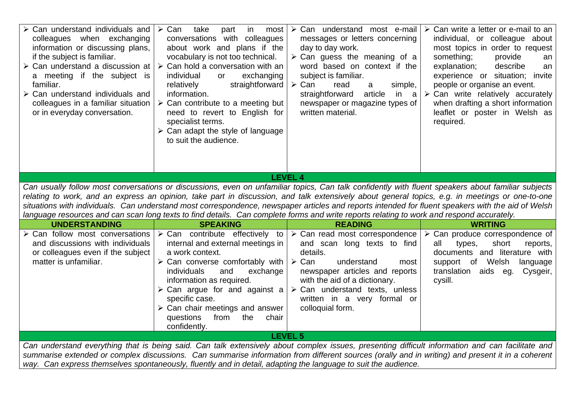| $\triangleright$ Can understand individuals and<br>colleagues when exchanging<br>information or discussing plans,<br>if the subject is familiar.<br>$\triangleright$ Can understand a discussion at<br>a meeting if the subject is<br>familiar.<br>$\triangleright$ Can understand individuals and<br>colleagues in a familiar situation<br>or in everyday conversation.                                               | $\triangleright$ Can<br>take<br>in<br>part<br>most<br>conversations with colleagues<br>about work and plans if the<br>vocabulary is not too technical.<br>$\triangleright$ Can hold a conversation with an<br>individual<br>exchanging<br>or<br>straightforward<br>relatively<br>information.<br>$\triangleright$ Can contribute to a meeting but<br>need to revert to English for<br>specialist terms.<br>$\triangleright$ Can adapt the style of language<br>to suit the audience. | > Can understand most e-mail<br>messages or letters concerning<br>day to day work.<br>$\triangleright$ Can guess the meaning of a<br>word based on context if the<br>subject is familiar.<br>$\triangleright$ Can<br>read<br>simple,<br>a<br>article<br>straightforward<br>in<br><sub>a</sub><br>newspaper or magazine types of<br>written material. | $\triangleright$ Can write a letter or e-mail to an<br>individual, or colleague about<br>most topics in order to request<br>something;<br>provide<br>an<br>explanation;<br>describe<br>an<br>experience or situation; invite<br>people or organise an event.<br>$\triangleright$ Can write relatively accurately<br>when drafting a short information<br>leaflet or poster in Welsh as<br>required.                                                         |  |
|------------------------------------------------------------------------------------------------------------------------------------------------------------------------------------------------------------------------------------------------------------------------------------------------------------------------------------------------------------------------------------------------------------------------|--------------------------------------------------------------------------------------------------------------------------------------------------------------------------------------------------------------------------------------------------------------------------------------------------------------------------------------------------------------------------------------------------------------------------------------------------------------------------------------|------------------------------------------------------------------------------------------------------------------------------------------------------------------------------------------------------------------------------------------------------------------------------------------------------------------------------------------------------|-------------------------------------------------------------------------------------------------------------------------------------------------------------------------------------------------------------------------------------------------------------------------------------------------------------------------------------------------------------------------------------------------------------------------------------------------------------|--|
|                                                                                                                                                                                                                                                                                                                                                                                                                        |                                                                                                                                                                                                                                                                                                                                                                                                                                                                                      |                                                                                                                                                                                                                                                                                                                                                      |                                                                                                                                                                                                                                                                                                                                                                                                                                                             |  |
|                                                                                                                                                                                                                                                                                                                                                                                                                        |                                                                                                                                                                                                                                                                                                                                                                                                                                                                                      | <b>LEVEL 4</b>                                                                                                                                                                                                                                                                                                                                       |                                                                                                                                                                                                                                                                                                                                                                                                                                                             |  |
|                                                                                                                                                                                                                                                                                                                                                                                                                        | language resources and can scan long texts to find details. Can complete forms and write reports relating to work and respond accurately.                                                                                                                                                                                                                                                                                                                                            |                                                                                                                                                                                                                                                                                                                                                      | Can usually follow most conversations or discussions, even on unfamiliar topics, Can talk confidently with fluent speakers about familiar subjects<br>relating to work, and an express an opinion, take part in discussion, and talk extensively about general topics, e.g. in meetings or one-to-one<br>situations with individuals. Can understand most correspondence, newspaper articles and reports intended for fluent speakers with the aid of Welsh |  |
| <b>UNDERSTANDING</b>                                                                                                                                                                                                                                                                                                                                                                                                   | <b>SPEAKING</b>                                                                                                                                                                                                                                                                                                                                                                                                                                                                      | <b>READING</b>                                                                                                                                                                                                                                                                                                                                       | <b>WRITING</b>                                                                                                                                                                                                                                                                                                                                                                                                                                              |  |
| $\triangleright$ Can follow most conversations<br>and discussions with individuals<br>or colleagues even if the subject<br>matter is unfamiliar.                                                                                                                                                                                                                                                                       | $\triangleright$ Can contribute effectively to $\triangleright$ Can read most correspondence<br>internal and external meetings in<br>a work context.<br>$\triangleright$ Can converse comfortably with $\triangleright$ Can<br>individuals<br>and<br>exchange<br>information as required.<br>specific case.<br>$\triangleright$ Can chair meetings and answer<br>questions<br>from<br>the<br>chair<br>confidently.                                                                   | and scan long texts to find<br>details.<br>understand<br>most<br>newspaper articles and reports<br>with the aid of a dictionary.<br>$\triangleright$ Can argue for and against a $\triangleright$ Can understand texts, unless<br>written in a very formal or<br>colloquial form.                                                                    | $\triangleright$ Can produce correspondence of<br>short<br>all<br>types,<br>reports,<br>documents and literature with<br>support of Welsh<br>language<br>translation aids eg.<br>Cysgeir,<br>cysill.                                                                                                                                                                                                                                                        |  |
|                                                                                                                                                                                                                                                                                                                                                                                                                        |                                                                                                                                                                                                                                                                                                                                                                                                                                                                                      | <b>LEVEL 5</b>                                                                                                                                                                                                                                                                                                                                       |                                                                                                                                                                                                                                                                                                                                                                                                                                                             |  |
| Can understand everything that is being said. Can talk extensively about complex issues, presenting difficult information and can facilitate and<br>summarise extended or complex discussions. Can summarise information from different sources (orally and in writing) and present it in a coherent<br>way. Can express themselves spontaneously, fluently and in detail, adapting the language to suit the audience. |                                                                                                                                                                                                                                                                                                                                                                                                                                                                                      |                                                                                                                                                                                                                                                                                                                                                      |                                                                                                                                                                                                                                                                                                                                                                                                                                                             |  |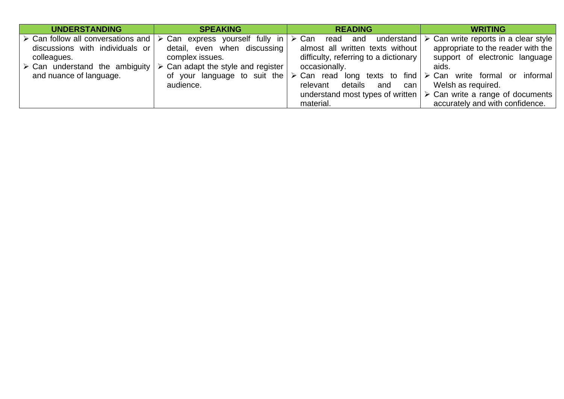| <b>UNDERSTANDING</b>                          | <b>SPEAKING</b>                                                                                  | <b>READING</b>                        | <b>WRITING</b>                                                                             |
|-----------------------------------------------|--------------------------------------------------------------------------------------------------|---------------------------------------|--------------------------------------------------------------------------------------------|
|                                               | $\triangleright$ Can follow all conversations and $\triangleright$ Can express yourself fully in | ≻ Can<br>and<br>understand<br>read    | $\triangleright$ Can write reports in a clear style                                        |
| discussions with individuals or               | detail, even when discussing                                                                     | almost all written texts without      | appropriate to the reader with the                                                         |
| colleagues.                                   | complex issues.                                                                                  | difficulty, referring to a dictionary | support of electronic language                                                             |
| $\triangleright$ Can understand the ambiguity | Can adapt the style and register<br>$\triangleright$                                             | occasionally.                         | aids.                                                                                      |
| and nuance of language.                       | of your language to suit the                                                                     |                                       | $\triangleright$ Can read long texts to find $\triangleright$ Can write formal or informal |
|                                               | audience.                                                                                        | details<br>and<br>can<br>relevant     | Welsh as required.                                                                         |
|                                               |                                                                                                  |                                       | understand most types of written $\triangleright$ Can write a range of documents           |
|                                               |                                                                                                  | material.                             | accurately and with confidence.                                                            |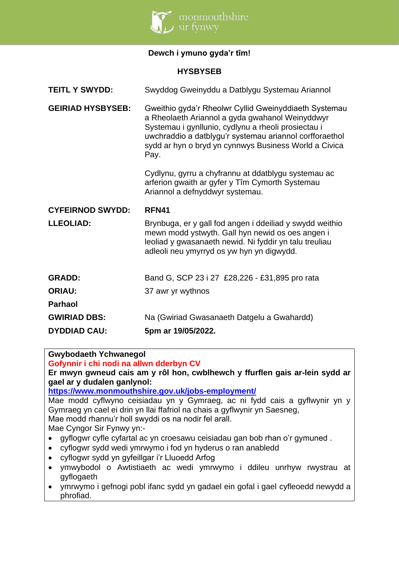

# **Dewch i ymuno gyda'r tîm!**

### **HYSBYSEB**

| <b>TEITL Y SWYDD:</b>    | Swyddog Gweinyddu a Datblygu Systemau Ariannol                                                                                                                                                                                                                                              |
|--------------------------|---------------------------------------------------------------------------------------------------------------------------------------------------------------------------------------------------------------------------------------------------------------------------------------------|
| <b>GEIRIAD HYSBYSEB:</b> | Gweithio gyda'r Rheolwr Cyllid Gweinyddiaeth Systemau<br>a Rheolaeth Ariannol a gyda gwahanol Weinyddwyr<br>Systemau i gynllunio, cydlynu a rheoli prosiectau i<br>uwchraddio a datblygu'r systemau ariannol corfforaethol<br>sydd ar hyn o bryd yn cynnwys Business World a Civica<br>Pay. |
|                          | Cydlynu, gyrru a chyfrannu at ddatblygu systemau ac<br>arferion gwaith ar gyfer y Tîm Cymorth Systemau<br>Ariannol a defnyddwyr systemau.                                                                                                                                                   |
| <b>CYFEIRNOD SWYDD:</b>  | <b>RFN41</b>                                                                                                                                                                                                                                                                                |
|                          |                                                                                                                                                                                                                                                                                             |
| <b>LLEOLIAD:</b>         | Brynbuga, er y gall fod angen i ddeiliad y swydd weithio<br>mewn modd ystwyth. Gall hyn newid os oes angen i<br>leoliad y gwasanaeth newid. Ni fyddir yn talu treuliau<br>adleoli neu ymyrryd os yw hyn yn digwydd.                                                                         |
| <b>GRADD:</b>            | Band G, SCP 23 i 27 £28,226 - £31,895 pro rata                                                                                                                                                                                                                                              |
| <b>ORIAU:</b>            | 37 awr yr wythnos                                                                                                                                                                                                                                                                           |
| <b>Parhaol</b>           |                                                                                                                                                                                                                                                                                             |
| <b>GWIRIAD DBS:</b>      | Na (Gwiriad Gwasanaeth Datgelu a Gwahardd)                                                                                                                                                                                                                                                  |

**Gwybodaeth Ychwanegol**

**Gofynnir i chi nodi na allwn dderbyn CV**

**Er mwyn gwneud cais am y rôl hon, cwblhewch y ffurflen gais ar-lein sydd ar gael ar y dudalen ganlynol:**

**<https://www.monmouthshire.gov.uk/jobs-employment/>**

Mae modd cyflwyno ceisiadau yn y Gymraeg, ac ni fydd cais a gyflwynir yn y Gymraeg yn cael ei drin yn llai ffafriol na chais a gyflwynir yn Saesneg, Mae modd rhannu'r holl swyddi os na nodir fel arall.

Mae Cyngor Sir Fynwy yn:-

- gyflogwr cyfle cyfartal ac yn croesawu ceisiadau gan bob rhan o'r gymuned .
- cyflogwr sydd wedi ymrwymo i fod yn hyderus o ran anabledd
- cyflogwr sydd yn gyfeillgar i'r Lluoedd Arfog
- ymwybodol o Awtistiaeth ac wedi ymrwymo i ddileu unrhyw rwystrau at gyflogaeth
- ymrwymo i gefnogi pobl ifanc sydd yn gadael ein gofal i gael cyfleoedd newydd a phrofiad.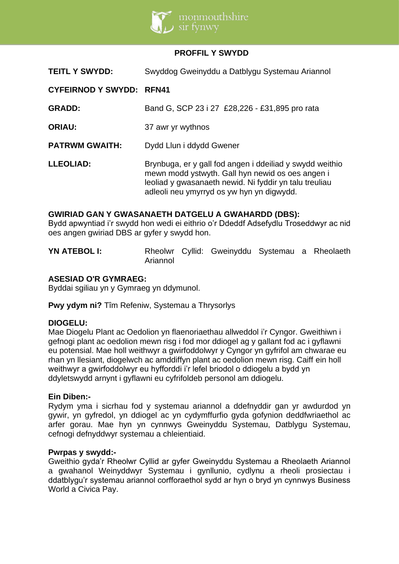

### **PROFFIL Y SWYDD**

| <b>TEITL Y SWYDD:</b>           | Swyddog Gweinyddu a Datblygu Systemau Ariannol                                                                                                                                                                      |  |  |
|---------------------------------|---------------------------------------------------------------------------------------------------------------------------------------------------------------------------------------------------------------------|--|--|
| <b>CYFEIRNOD Y SWYDD: RFN41</b> |                                                                                                                                                                                                                     |  |  |
| <b>GRADD:</b>                   | Band G, SCP 23 i 27 £28,226 - £31,895 pro rata                                                                                                                                                                      |  |  |
| <b>ORIAU:</b>                   | 37 awr yr wythnos                                                                                                                                                                                                   |  |  |
| <b>PATRWM GWAITH:</b>           | Dydd Llun i ddydd Gwener                                                                                                                                                                                            |  |  |
| <b>LLEOLIAD:</b>                | Brynbuga, er y gall fod angen i ddeiliad y swydd weithio<br>mewn modd ystwyth. Gall hyn newid os oes angen i<br>leoliad y gwasanaeth newid. Ni fyddir yn talu treuliau<br>adleoli neu ymyrryd os yw hyn yn digwydd. |  |  |

### **GWIRIAD GAN Y GWASANAETH DATGELU A GWAHARDD (DBS):**

Bydd apwyntiad i'r swydd hon wedi ei eithrio o'r Ddeddf Adsefydlu Troseddwyr ac nid oes angen gwiriad DBS ar gyfer y swydd hon.

**YN ATEBOL I:** Rheolwr Cyllid: Gweinyddu Systemau a Rheolaeth Ariannol

### **ASESIAD O'R GYMRAEG:**

Byddai sgiliau yn y Gymraeg yn ddymunol.

**Pwy ydym ni?** Tîm Refeniw, Systemau a Thrysorlys

### **DIOGELU:**

Mae Diogelu Plant ac Oedolion yn flaenoriaethau allweddol i'r Cyngor. Gweithiwn i gefnogi plant ac oedolion mewn risg i fod mor ddiogel ag y gallant fod ac i gyflawni eu potensial. Mae holl weithwyr a gwirfoddolwyr y Cyngor yn gyfrifol am chwarae eu rhan yn llesiant, diogelwch ac amddiffyn plant ac oedolion mewn risg. Caiff ein holl weithwyr a gwirfoddolwyr eu hyfforddi i'r lefel briodol o ddiogelu a bydd yn ddyletswydd arnynt i gyflawni eu cyfrifoldeb personol am ddiogelu.

### **Ein Diben:-**

Rydym yma i sicrhau fod y systemau ariannol a ddefnyddir gan yr awdurdod yn gywir, yn gyfredol, yn ddiogel ac yn cydymffurfio gyda gofynion deddfwriaethol ac arfer gorau. Mae hyn yn cynnwys Gweinyddu Systemau, Datblygu Systemau, cefnogi defnyddwyr systemau a chleientiaid.

#### **Pwrpas y swydd:-**

Gweithio gyda'r Rheolwr Cyllid ar gyfer Gweinyddu Systemau a Rheolaeth Ariannol a gwahanol Weinyddwyr Systemau i gynllunio, cydlynu a rheoli prosiectau i ddatblygu'r systemau ariannol corfforaethol sydd ar hyn o bryd yn cynnwys Business World a Civica Pay.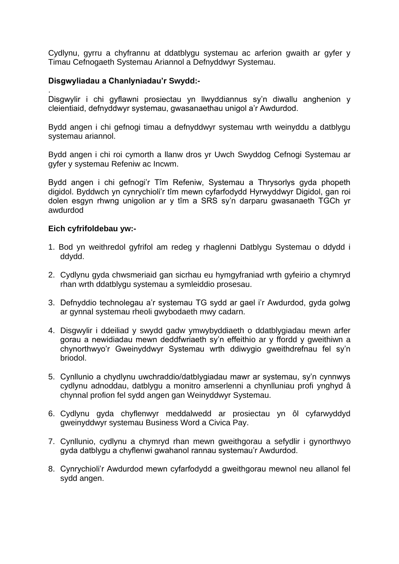Cydlynu, gyrru a chyfrannu at ddatblygu systemau ac arferion gwaith ar gyfer y Timau Cefnogaeth Systemau Ariannol a Defnyddwyr Systemau.

### **Disgwyliadau a Chanlyniadau'r Swydd:-**

. Disgwylir i chi gyflawni prosiectau yn llwyddiannus sy'n diwallu anghenion y cleientiaid, defnyddwyr systemau, gwasanaethau unigol a'r Awdurdod.

Bydd angen i chi gefnogi timau a defnyddwyr systemau wrth weinyddu a datblygu systemau ariannol.

Bydd angen i chi roi cymorth a llanw dros yr Uwch Swyddog Cefnogi Systemau ar gyfer y systemau Refeniw ac Incwm.

Bydd angen i chi gefnogi'r Tîm Refeniw, Systemau a Thrysorlys gyda phopeth digidol. Byddwch yn cynrychioli'r tîm mewn cyfarfodydd Hyrwyddwyr Digidol, gan roi dolen esgyn rhwng unigolion ar y tîm a SRS sy'n darparu gwasanaeth TGCh yr awdurdod

### **Eich cyfrifoldebau yw:-**

- 1. Bod yn weithredol gyfrifol am redeg y rhaglenni Datblygu Systemau o ddydd i ddydd.
- 2. Cydlynu gyda chwsmeriaid gan sicrhau eu hymgyfraniad wrth gyfeirio a chymryd rhan wrth ddatblygu systemau a symleiddio prosesau.
- 3. Defnyddio technolegau a'r systemau TG sydd ar gael i'r Awdurdod, gyda golwg ar gynnal systemau rheoli gwybodaeth mwy cadarn.
- 4. Disgwylir i ddeiliad y swydd gadw ymwybyddiaeth o ddatblygiadau mewn arfer gorau a newidiadau mewn deddfwriaeth sy'n effeithio ar y ffordd y gweithiwn a chynorthwyo'r Gweinyddwyr Systemau wrth ddiwygio gweithdrefnau fel sy'n briodol.
- 5. Cynllunio a chydlynu uwchraddio/datblygiadau mawr ar systemau, sy'n cynnwys cydlynu adnoddau, datblygu a monitro amserlenni a chynlluniau profi ynghyd â chynnal profion fel sydd angen gan Weinyddwyr Systemau.
- 6. Cydlynu gyda chyflenwyr meddalwedd ar prosiectau yn ôl cyfarwyddyd gweinyddwyr systemau Business Word a Civica Pay.
- 7. Cynllunio, cydlynu a chymryd rhan mewn gweithgorau a sefydlir i gynorthwyo gyda datblygu a chyflenwi gwahanol rannau systemau'r Awdurdod.
- 8. Cynrychioli'r Awdurdod mewn cyfarfodydd a gweithgorau mewnol neu allanol fel sydd angen.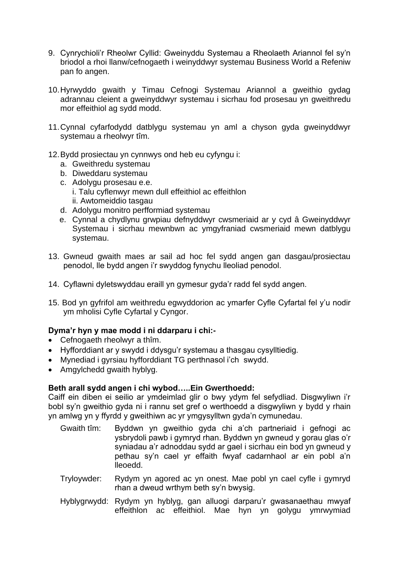- 9. Cynrychioli'r Rheolwr Cyllid: Gweinyddu Systemau a Rheolaeth Ariannol fel sy'n briodol a rhoi llanw/cefnogaeth i weinyddwyr systemau Business World a Refeniw pan fo angen.
- 10.Hyrwyddo gwaith y Timau Cefnogi Systemau Ariannol a gweithio gydag adrannau cleient a gweinyddwyr systemau i sicrhau fod prosesau yn gweithredu mor effeithiol ag sydd modd.
- 11.Cynnal cyfarfodydd datblygu systemau yn aml a chyson gyda gweinyddwyr systemau a rheolwyr tîm.
- 12.Bydd prosiectau yn cynnwys ond heb eu cyfyngu i:
	- a. Gweithredu systemau
	- b. Diweddaru systemau
	- c. Adolygu prosesau e.e. i. Talu cyflenwyr mewn dull effeithiol ac effeithlon ii. Awtomeiddio tasgau
	- d. Adolygu monitro perfformiad systemau
	- e. Cynnal a chydlynu grwpiau defnyddwyr cwsmeriaid ar y cyd â Gweinyddwyr Systemau i sicrhau mewnbwn ac ymgyfraniad cwsmeriaid mewn datblygu systemau.
- 13. Gwneud gwaith maes ar sail ad hoc fel sydd angen gan dasgau/prosiectau penodol, lle bydd angen i'r swyddog fynychu lleoliad penodol.
- 14. Cyflawni dyletswyddau eraill yn gymesur gyda'r radd fel sydd angen.
- 15. Bod yn gyfrifol am weithredu egwyddorion ac ymarfer Cyfle Cyfartal fel y'u nodir ym mholisi Cyfle Cyfartal y Cyngor.

# **Dyma'r hyn y mae modd i ni ddarparu i chi:-**

- Cefnogaeth rheolwyr a thîm.
- Hyfforddiant ar y swydd i ddysgu'r systemau a thasgau cysylltiedig.
- Mynediad i gyrsiau hyfforddiant TG perthnasol i'ch swydd.
- Amgylchedd gwaith hyblyg.

# **Beth arall sydd angen i chi wybod…..Ein Gwerthoedd:**

Caiff ein diben ei seilio ar ymdeimlad glir o bwy ydym fel sefydliad. Disgwyliwn i'r bobl sy'n gweithio gyda ni i rannu set gref o werthoedd a disgwyliwn y bydd y rhain yn amlwg yn y ffyrdd y gweithiwn ac yr ymgysylltwn gyda'n cymunedau.

- Gwaith tîm: Byddwn yn gweithio gyda chi a'ch partneriaid i gefnogi ac ysbrydoli pawb i gymryd rhan. Byddwn yn gwneud y gorau glas o'r syniadau a'r adnoddau sydd ar gael i sicrhau ein bod yn gwneud y pethau sy'n cael yr effaith fwyaf cadarnhaol ar ein pobl a'n lleoedd.
- Tryloywder: Rydym yn agored ac yn onest. Mae pobl yn cael cyfle i gymryd rhan a dweud wrthym beth sy'n bwysig.
- Hyblygrwydd: Rydym yn hyblyg, gan alluogi darparu'r gwasanaethau mwyaf effeithlon ac effeithiol. Mae hyn yn golygu ymrwymiad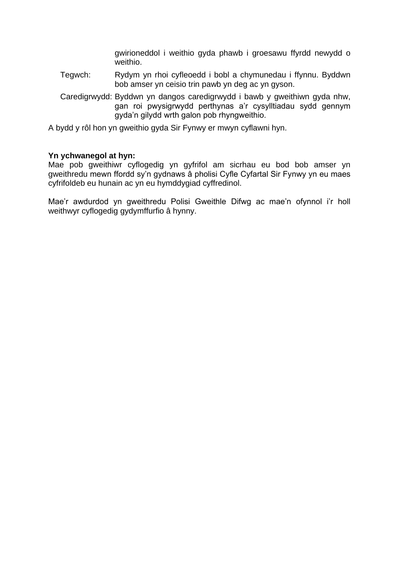gwirioneddol i weithio gyda phawb i groesawu ffyrdd newydd o weithio.

- Tegwch: Rydym yn rhoi cyfleoedd i bobl a chymunedau i ffynnu. Byddwn bob amser yn ceisio trin pawb yn deg ac yn gyson.
- Caredigrwydd: Byddwn yn dangos caredigrwydd i bawb y gweithiwn gyda nhw, gan roi pwysigrwydd perthynas a'r cysylltiadau sydd gennym gyda'n gilydd wrth galon pob rhyngweithio.
- A bydd y rôl hon yn gweithio gyda Sir Fynwy er mwyn cyflawni hyn.

### **Yn ychwanegol at hyn:**

Mae pob gweithiwr cyflogedig yn gyfrifol am sicrhau eu bod bob amser yn gweithredu mewn ffordd sy'n gydnaws â pholisi Cyfle Cyfartal Sir Fynwy yn eu maes cyfrifoldeb eu hunain ac yn eu hymddygiad cyffredinol.

Mae'r awdurdod yn gweithredu Polisi Gweithle Difwg ac mae'n ofynnol i'r holl weithwyr cyflogedig gydymffurfio â hynny.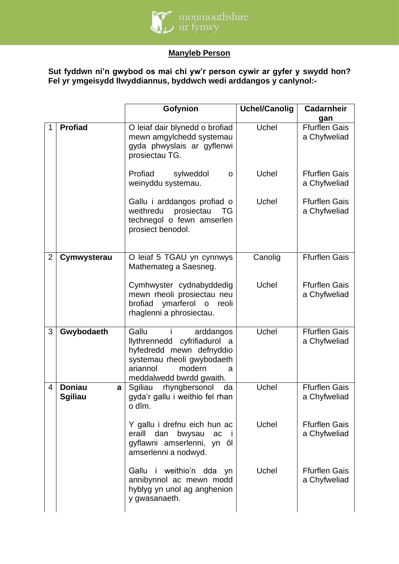

# **Manyleb Person**

**Sut fyddwn ni'n gwybod os mai chi yw'r person cywir ar gyfer y swydd hon? Fel yr ymgeisydd llwyddiannus, byddwch wedi arddangos y canlynol:-**

|                |                                      | Gofynion                                                                                                                                                                             | <b>Uchel/Canolig</b> | <b>Cadarnheir</b>                           |
|----------------|--------------------------------------|--------------------------------------------------------------------------------------------------------------------------------------------------------------------------------------|----------------------|---------------------------------------------|
| 1              | <b>Profiad</b>                       | O leiaf dair blynedd o brofiad<br>mewn amgylchedd systemau<br>gyda phwyslais ar gyflenwi<br>prosiectau TG.                                                                           | Uchel                | gan<br><b>Ffurflen Gais</b><br>a Chyfweliad |
|                |                                      | Profiad<br>sylweddol<br>$\mathbf O$<br>weinyddu systemau.                                                                                                                            | Uchel                | <b>Ffurflen Gais</b><br>a Chyfweliad        |
|                |                                      | Gallu i arddangos profiad o<br>weithredu prosiectau<br>TG<br>technegol o fewn amserlen<br>prosiect benodol.                                                                          | Uchel                | <b>Ffurflen Gais</b><br>a Chyfweliad        |
| $\overline{2}$ | Cymwysterau                          | O leiaf 5 TGAU yn cynnwys<br>Mathemateg a Saesneg.                                                                                                                                   | Canolig              | <b>Ffurflen Gais</b>                        |
|                |                                      | Cymhwyster cydnabyddedig<br>mewn rheoli prosiectau neu<br>ymarferol o<br>brofiad<br>reoli<br>rhaglenni a phrosiectau.                                                                | Uchel                | <b>Ffurflen Gais</b><br>a Chyfweliad        |
| 3              | Gwybodaeth                           | Gallu<br>arddangos<br>-i.<br><b>Ilythrennedd</b><br>cyfrifiadurol a<br>hyfedredd mewn defnyddio<br>systemau rheoli gwybodaeth<br>ariannol<br>modern<br>a<br>meddalwedd bwrdd gwaith. | Uchel                | <b>Ffurflen Gais</b><br>a Chyfweliad        |
| $\overline{4}$ | <b>Doniau</b><br>a<br><b>Sgiliau</b> | rhyngbersonol<br>Sgiliau<br>da<br>gyda'r gallu i weithio fel rhan<br>o dîm.                                                                                                          | Uchel                | <b>Ffurflen Gais</b><br>a Chyfweliad        |
|                |                                      | Y gallu i drefnu eich hun ac<br>eraill<br>dan<br>bwysau<br>ac<br>gyflawni amserlenni,<br>yn ôl<br>amserlenni a nodwyd.                                                               | Uchel                | <b>Ffurflen Gais</b><br>a Chyfweliad        |
|                |                                      | weithio'n dda<br>Gallu<br>- I -<br>yn<br>annibynnol ac mewn modd<br>hyblyg yn unol ag anghenion<br>y gwasanaeth.                                                                     | Uchel                | <b>Ffurflen Gais</b><br>a Chyfweliad        |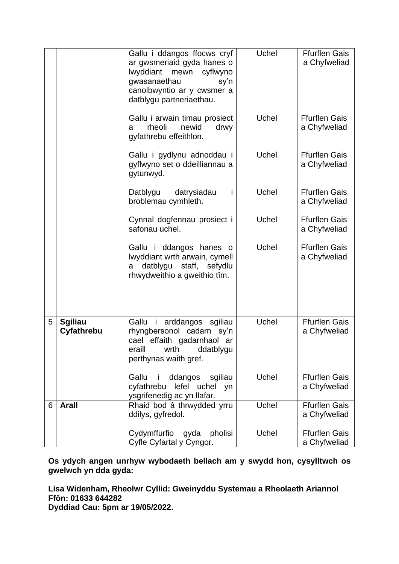|   |                              | Gallu i ddangos ffocws cryf<br>ar gwsmeriaid gyda hanes o<br><b>lwyddiant</b><br>cyflwyno<br>mewn<br>gwasanaethau<br>sy'n<br>canolbwyntio ar y cwsmer a<br>datblygu partneriaethau. | Uchel | <b>Ffurflen Gais</b><br>a Chyfweliad |
|---|------------------------------|-------------------------------------------------------------------------------------------------------------------------------------------------------------------------------------|-------|--------------------------------------|
|   |                              | Gallu i arwain timau prosiect<br>rheoli<br>newid<br>drwy<br>a<br>gyfathrebu effeithlon.                                                                                             | Uchel | <b>Ffurflen Gais</b><br>a Chyfweliad |
|   |                              | Gallu i gydlynu adnoddau i<br>gyflwyno set o ddeilliannau a<br>gytunwyd.                                                                                                            | Uchel | <b>Ffurflen Gais</b><br>a Chyfweliad |
|   |                              | Datblygu<br>datrysiadau<br>broblemau cymhleth.                                                                                                                                      | Uchel | <b>Ffurflen Gais</b><br>a Chyfweliad |
|   |                              | Cynnal dogfennau prosiect i<br>safonau uchel.                                                                                                                                       | Uchel | <b>Ffurflen Gais</b><br>a Chyfweliad |
|   |                              | Gallu i ddangos hanes o<br>Iwyddiant wrth arwain, cymell<br>datblygu staff, sefydlu<br>a<br>rhwydweithio a gweithio tîm.                                                            | Uchel | <b>Ffurflen Gais</b><br>a Chyfweliad |
| 5 | <b>Sgiliau</b><br>Cyfathrebu | Gallu i arddangos sgiliau<br>rhyngbersonol cadarn<br>sy'n<br>cael effaith gadarnhaol ar<br>eraill<br>wrth<br>ddatblygu<br>perthynas waith gref.                                     | Uchel | <b>Ffurflen Gais</b><br>a Chyfweliad |
|   |                              | ddangos<br>sgiliau<br>Gallu<br>cyfathrebu<br>lefel uchel<br>yn<br>ysgrifenedig ac yn llafar.                                                                                        | Uchel | <b>Ffurflen Gais</b><br>a Chyfweliad |
| 6 | <b>Arall</b>                 | Rhaid bod â thrwydded yrru<br>ddilys, gyfredol.                                                                                                                                     | Uchel | <b>Ffurflen Gais</b><br>a Chyfweliad |
|   |                              | Cydymffurfio<br>gyda<br>pholisi<br>Cyfle Cyfartal y Cyngor.                                                                                                                         | Uchel | <b>Ffurflen Gais</b><br>a Chyfweliad |

**Os ydych angen unrhyw wybodaeth bellach am y swydd hon, cysylltwch os gwelwch yn dda gyda:** 

**Lisa Widenham, Rheolwr Cyllid: Gweinyddu Systemau a Rheolaeth Ariannol Ffôn: 01633 644282**

**Dyddiad Cau: 5pm ar 19/05/2022.**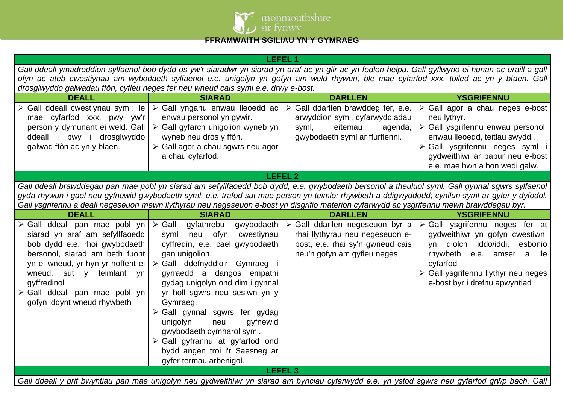

# **FFRAMWAITH SGILIAU YN Y GYMRAEG**

| <b>LEFEL 1</b>                                                                                                                                                                                                                                                                                              |                                                                                                                                                                                                                                                                                                                                                                                                                                                                                             |                                                                                                                                       |                                                                                                                                                                                                                                        |  |  |  |
|-------------------------------------------------------------------------------------------------------------------------------------------------------------------------------------------------------------------------------------------------------------------------------------------------------------|---------------------------------------------------------------------------------------------------------------------------------------------------------------------------------------------------------------------------------------------------------------------------------------------------------------------------------------------------------------------------------------------------------------------------------------------------------------------------------------------|---------------------------------------------------------------------------------------------------------------------------------------|----------------------------------------------------------------------------------------------------------------------------------------------------------------------------------------------------------------------------------------|--|--|--|
| Gall ddeall ymadroddion sylfaenol bob dydd os yw'r siaradwr yn siarad yn araf ac yn glir ac yn fodlon helpu. Gall gyflwyno ei hunan ac eraill a gall                                                                                                                                                        |                                                                                                                                                                                                                                                                                                                                                                                                                                                                                             |                                                                                                                                       |                                                                                                                                                                                                                                        |  |  |  |
|                                                                                                                                                                                                                                                                                                             | ofyn ac ateb cwestiynau am wybodaeth sylfaenol e.e. unigolyn yn gofyn am weld rhywun, ble mae cyfarfod xxx, toiled ac yn y blaen. Gall                                                                                                                                                                                                                                                                                                                                                      |                                                                                                                                       |                                                                                                                                                                                                                                        |  |  |  |
|                                                                                                                                                                                                                                                                                                             | drosglwyddo galwadau ffôn, cyfleu neges fer neu wneud cais syml e.e. drwy e-bost.                                                                                                                                                                                                                                                                                                                                                                                                           |                                                                                                                                       |                                                                                                                                                                                                                                        |  |  |  |
| <b>DEALL</b>                                                                                                                                                                                                                                                                                                | <b>SIARAD</b>                                                                                                                                                                                                                                                                                                                                                                                                                                                                               | <b>DARLLEN</b>                                                                                                                        | <b>YSGRIFENNU</b>                                                                                                                                                                                                                      |  |  |  |
| > Gall ddeall cwestiynau syml: lle<br>mae cyfarfod xxx, pwy yw'r                                                                                                                                                                                                                                            | > Gall ynganu enwau lleoedd ac<br>enwau personol yn gywir.                                                                                                                                                                                                                                                                                                                                                                                                                                  | > Gall ddarllen brawddeg fer, e.e.<br>arwyddion syml, cyfarwyddiadau                                                                  | $\triangleright$ Gall agor a chau neges e-bost<br>neu lythyr.                                                                                                                                                                          |  |  |  |
| person y dymunant ei weld. Gall                                                                                                                                                                                                                                                                             | $\triangleright$ Gall gyfarch unigolion wyneb yn                                                                                                                                                                                                                                                                                                                                                                                                                                            | syml,<br>eitemau<br>agenda,                                                                                                           | > Gall ysgrifennu enwau personol,                                                                                                                                                                                                      |  |  |  |
| ddeall i bwy i drosglwyddo                                                                                                                                                                                                                                                                                  | wyneb neu dros y ffôn.                                                                                                                                                                                                                                                                                                                                                                                                                                                                      | gwybodaeth syml ar ffurflenni.                                                                                                        | enwau lleoedd, teitlau swyddi.                                                                                                                                                                                                         |  |  |  |
| galwad ffôn ac yn y blaen.                                                                                                                                                                                                                                                                                  | $\triangleright$ Gall agor a chau sgwrs neu agor                                                                                                                                                                                                                                                                                                                                                                                                                                            |                                                                                                                                       | > Gall ysgrifennu neges syml i                                                                                                                                                                                                         |  |  |  |
|                                                                                                                                                                                                                                                                                                             | a chau cyfarfod.                                                                                                                                                                                                                                                                                                                                                                                                                                                                            |                                                                                                                                       | gydweithiwr ar bapur neu e-bost                                                                                                                                                                                                        |  |  |  |
|                                                                                                                                                                                                                                                                                                             |                                                                                                                                                                                                                                                                                                                                                                                                                                                                                             |                                                                                                                                       | e.e. mae hwn a hon wedi galw.                                                                                                                                                                                                          |  |  |  |
|                                                                                                                                                                                                                                                                                                             |                                                                                                                                                                                                                                                                                                                                                                                                                                                                                             | <b>LEFEL 2</b>                                                                                                                        |                                                                                                                                                                                                                                        |  |  |  |
|                                                                                                                                                                                                                                                                                                             | Gall ddeall brawddegau pan mae pobl yn siarad am sefyllfaoedd bob dydd, e.e. gwybodaeth bersonol a theuluol syml. Gall gynnal sgwrs sylfaenol<br>gyda rhywun i gael neu gyfnewid gwybodaeth syml, e.e. trafod sut mae person yn teimlo; rhywbeth a ddigwyddodd; cynllun syml ar gyfer y dyfodol.<br>Gall ysgrifennu a deall negeseuon mewn llythyrau neu negeseuon e-bost yn disgrifio materion cyfarwydd ac ysgrifennu mewn brawddegau byr.                                                |                                                                                                                                       |                                                                                                                                                                                                                                        |  |  |  |
| <b>DEALL</b>                                                                                                                                                                                                                                                                                                | <b>SIARAD</b>                                                                                                                                                                                                                                                                                                                                                                                                                                                                               | <b>DARLLEN</b>                                                                                                                        | <b>YSGRIFENNU</b>                                                                                                                                                                                                                      |  |  |  |
| Gall ddeall pan mae pobl yn $\triangleright$ Gall<br>➤<br>siarad yn araf am sefyllfaoedd<br>bob dydd e.e. rhoi gwybodaeth<br>bersonol, siarad am beth fuont<br>yn ei wneud, yr hyn yr hoffent ei<br>wneud, sut y teimlant yn<br>gyffredinol<br>> Gall ddeall pan mae pobl yn<br>gofyn iddynt wneud rhywbeth | gyfathrebu<br>gwybodaeth<br>neu ofyn<br>cwestiynau<br>syml<br>cyffredin, e.e. cael gwybodaeth<br>gan unigolion.<br>> Gall ddefnyddio'r Gymraeg i<br>gyrraedd a dangos empathi<br>gydag unigolyn ond dim i gynnal<br>yr holl sgwrs neu sesiwn yn y<br>Gymraeg.<br>> Gall gynnal sgwrs fer gydag<br>unigolyn<br>gyfnewid<br>neu<br>gwybodaeth cymharol syml.<br>$\triangleright$ Gall gyfrannu at gyfarfod ond<br>bydd angen troi i'r Saesneg ar<br>gyfer termau arbenigol.<br><b>LEFEL 3</b> | > Gall ddarllen negeseuon byr a<br>rhai llythyrau neu negeseuon e-<br>bost, e.e. rhai sy'n gwneud cais<br>neu'n gofyn am gyfleu neges | $\triangleright$ Gall ysgrifennu neges fer at<br>gydweithiwr yn gofyn cwestiwn,<br>diolch iddo/iddi,<br>esbonio<br>yn<br>rhywbeth e.e. amser a lle<br>cyfarfod<br>> Gall ysgrifennu llythyr neu neges<br>e-bost byr i drefnu apwyntiad |  |  |  |
|                                                                                                                                                                                                                                                                                                             |                                                                                                                                                                                                                                                                                                                                                                                                                                                                                             |                                                                                                                                       | Gall ddeall y prif bwyntiau pan mae unigolyn neu gydweithiwr yn siarad am bynciau cyfarwydd e.e. yn ystod sgwrs neu gyfarfod grŵp bach. Gall                                                                                           |  |  |  |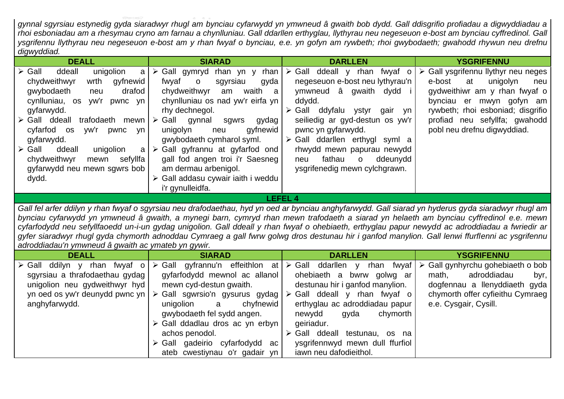*gynnal sgyrsiau estynedig gyda siaradwyr rhugl am bynciau cyfarwydd yn ymwneud â gwaith bob dydd. Gall ddisgrifio profiadau a digwyddiadau a rhoi esboniadau am a rhesymau cryno am farnau a chynlluniau. Gall ddarllen erthyglau, llythyrau neu negeseuon e-bost am bynciau cyffredinol. Gall ysgrifennu llythyrau neu negeseuon e-bost am y rhan fwyaf o bynciau, e.e. yn gofyn am rywbeth; rhoi gwybodaeth; gwahodd rhywun neu drefnu digwyddiad.*

| <b>DEALL</b>                                                                                                                                                                                                                                                                                                                                                                                            | <b>SIARAD</b>                                                                                                                                                                                                                                                                                                                                                                                                                                       | <b>DARLLEN</b>                                                                                                                                                                                                                                                                                                                                                                             | <b>YSGRIFENNU</b>                                                                                                                                                                                                                                       |  |
|---------------------------------------------------------------------------------------------------------------------------------------------------------------------------------------------------------------------------------------------------------------------------------------------------------------------------------------------------------------------------------------------------------|-----------------------------------------------------------------------------------------------------------------------------------------------------------------------------------------------------------------------------------------------------------------------------------------------------------------------------------------------------------------------------------------------------------------------------------------------------|--------------------------------------------------------------------------------------------------------------------------------------------------------------------------------------------------------------------------------------------------------------------------------------------------------------------------------------------------------------------------------------------|---------------------------------------------------------------------------------------------------------------------------------------------------------------------------------------------------------------------------------------------------------|--|
| $\triangleright$ Gall<br>ddeall<br>unigolion<br>a<br>chydweithwyr<br>wrth<br>gyfnewid<br>drafod<br>gwybodaeth<br>neu<br>cynlluniau, os yw'r pwnc yn<br>gyfarwydd.<br>$\triangleright$ Gall ddeall<br>trafodaeth mewn<br>cyfarfod os<br>yw'r<br>pwnc<br>vn.<br>gyfarwydd.<br>ddeall<br>$\triangleright$ Gall<br>unigolion<br>a<br>mewn sefyllfa<br>chydweithwyr<br>gyfarwydd neu mewn sgwrs bob<br>dydd. | $\triangleright$ Gall gymryd rhan yn y rhan<br>fwyaf o<br>gyda<br>sgyrsiau<br>waith a<br>chydweithwyr<br>am<br>chynlluniau os nad yw'r eirfa yn<br>rhy dechnegol.<br>$\triangleright$ Gall gynnal sgwrs<br>gydag<br>qyfnewid<br>unigolyn<br>neu<br>gwybodaeth cymharol syml.<br>$\triangleright$ Gall gyfrannu at gyfarfod ond<br>gall fod angen troi i'r Saesneg<br>am dermau arbenigol.<br>> Gall addasu cywair iaith i weddu<br>i'r gynulleidfa. | $\triangleright$ Gall ddeall y rhan fwyaf o<br>negeseuon e-bost neu lythyrau'n<br>ymwneud â gwaith dydd<br>ddydd.<br>$\triangleright$ Gall ddyfalu<br>ystyr<br>qair<br>vn<br>seiliedig ar gyd-destun os yw'r<br>pwnc yn gyfarwydd.<br>$\triangleright$ Gall ddarllen erthygl syml a<br>rhwydd mewn papurau newydd<br>fathau<br>ddeunydd<br>$\circ$<br>neu<br>ysgrifenedig mewn cylchgrawn. | $\triangleright$ Gall ysgrifennu llythyr neu neges<br>unigolyn<br>e-bost<br>at<br>neu<br>gydweithiwr am y rhan fwyaf o<br>bynciau er mwyn gofyn am<br>rywbeth; rhoi esboniad; disgrifio<br>profiad neu sefyllfa; gwahodd<br>pobl neu drefnu digwyddiad. |  |
| LEFEL 4                                                                                                                                                                                                                                                                                                                                                                                                 |                                                                                                                                                                                                                                                                                                                                                                                                                                                     |                                                                                                                                                                                                                                                                                                                                                                                            |                                                                                                                                                                                                                                                         |  |

*Gall fel arfer ddilyn y rhan fwyaf o sgyrsiau neu drafodaethau, hyd yn oed ar bynciau anghyfarwydd. Gall siarad yn hyderus gyda siaradwyr rhugl am bynciau cyfarwydd yn ymwneud â gwaith, a mynegi barn, cymryd rhan mewn trafodaeth a siarad yn helaeth am bynciau cyffredinol e.e. mewn*  cyfarfodydd neu sefyllfaoedd un-i-un gydag unigolion. Gall ddeall y rhan fwyaf o ohebiaeth, erthyglau papur newydd ac adroddiadau a fwriedir ar *gyfer siaradwyr rhugl gyda chymorth adnoddau Cymraeg a gall fwrw golwg dros destunau hir i ganfod manylion. Gall lenwi ffurflenni ac ysgrifennu adroddiadau'n ymwneud â gwaith ac ymateb yn gywir.*

| <b>DEALL</b>                                                                                                                                                         | <b>SIARAD</b>                                                                                                                                                                                                                                                                                               | <b>DARLLEN</b>                                                                                                                                                                                                                                                                                                                                         | <b>YSGRIFENNU</b>                                                                                                                                                              |
|----------------------------------------------------------------------------------------------------------------------------------------------------------------------|-------------------------------------------------------------------------------------------------------------------------------------------------------------------------------------------------------------------------------------------------------------------------------------------------------------|--------------------------------------------------------------------------------------------------------------------------------------------------------------------------------------------------------------------------------------------------------------------------------------------------------------------------------------------------------|--------------------------------------------------------------------------------------------------------------------------------------------------------------------------------|
| rhan fwyaf o<br>$\triangleright$ Gall ddilyn y<br>sgyrsiau a thrafodaethau gydag<br>unigolion neu gydweithwyr hyd<br>yn oed os yw'r deunydd pwnc yn<br>anghyfarwydd. | ➤<br>gyfarfodydd mewnol ac allanol<br>mewn cyd-destun gwaith.<br>Gall sgwrsio'n gysurus gydag  <br>➤<br>chyfnewid<br>unigolion<br>a<br>gwybodaeth fel sydd angen.<br>> Gall ddadlau dros ac yn erbyn<br>achos penodol.<br>$\triangleright$ Gall gadeirio cyfarfodydd<br>ac<br>ateb cwestiynau o'r gadair yn | Gall gyfrannu'n effeithlon at $\triangleright$ Gall ddarllen y rhan fwyaf<br>ohebiaeth a bwrw golwg ar l<br>destunau hir i ganfod manylion.<br>Gall ddeall y rhan fwyaf o<br>erthyglau ac adroddiadau papur<br>chymorth<br>newydd<br>gyda<br>geiriadur.<br>Gall ddeall testunau,<br>os na<br>ysgrifennwyd mewn dull ffurfiol<br>iawn neu dafodieithol. | $\triangleright$ Gall gynhyrchu gohebiaeth o bob<br>adroddiadau<br>math,<br>byr,<br>dogfennau a llenyddiaeth gyda<br>chymorth offer cyfieithu Cymraeg<br>e.e. Cysgair, Cysill. |